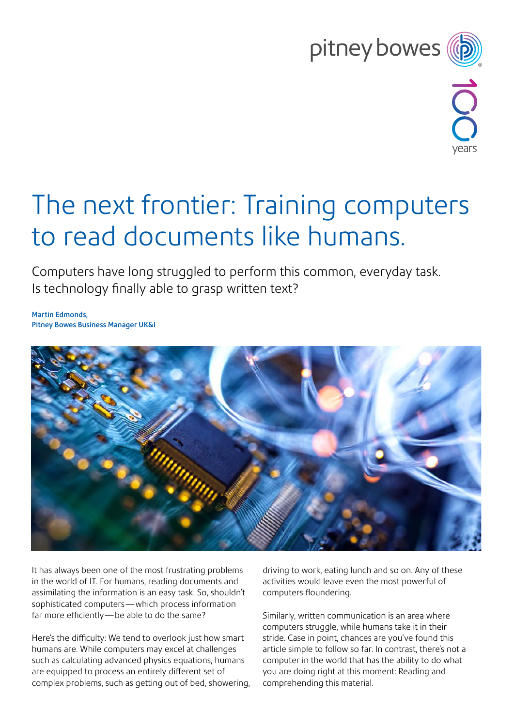## pitney bowes (b)



## The next frontier: Training computers to read documents like humans.

Computers have long struggled to perform this common, everyday task. Is technology finally able to grasp written text?

Martin Edmonds, Pitney Bowes Business Manager UK&I



It has always been one of the most frustrating problems in the world of IT. For humans, reading documents and assimilating the information is an easy task. So, shouldn't sophisticated computers—which process information far more efficiently—be able to do the same?

Here's the difficulty: We tend to overlook just how smart humans are. While computers may excel at challenges such as calculating advanced physics equations, humans are equipped to process an entirely different set of complex problems, such as getting out of bed, showering, driving to work, eating lunch and so on. Any of these activities would leave even the most powerful of computers floundering.

Similarly, written communication is an area where computers struggle, while humans take it in their stride. Case in point, chances are you've found this article simple to follow so far. In contrast, there's not a computer in the world that has the ability to do what you are doing right at this moment: Reading and comprehending this material.